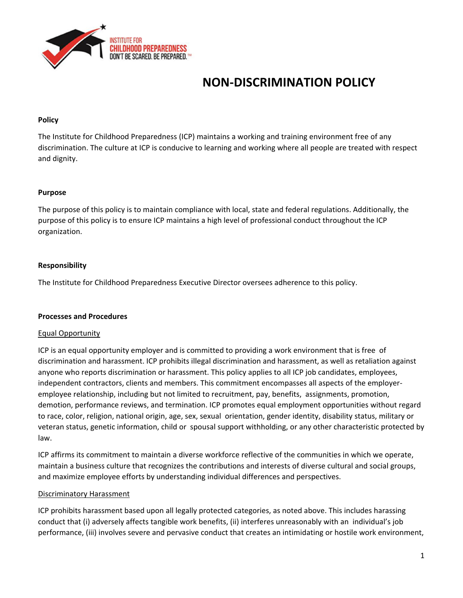

# **NON‐DISCRIMINATION POLICY**

#### **Policy**

The Institute for Childhood Preparedness (ICP) maintains a working and training environment free of any discrimination. The culture at ICP is conducive to learning and working where all people are treated with respect and dignity.

#### **Purpose**

The purpose of this policy is to maintain compliance with local, state and federal regulations. Additionally, the purpose of this policy is to ensure ICP maintains a high level of professional conduct throughout the ICP organization.

#### **Responsibility**

The Institute for Childhood Preparedness Executive Director oversees adherence to this policy.

#### **Processes and Procedures**

#### Equal Opportunity

ICP is an equal opportunity employer and is committed to providing a work environment that is free of discrimination and harassment. ICP prohibits illegal discrimination and harassment, as well as retaliation against anyone who reports discrimination or harassment. This policy applies to all ICP job candidates, employees, independent contractors, clients and members. This commitment encompasses all aspects of the employer‐ employee relationship, including but not limited to recruitment, pay, benefits, assignments, promotion, demotion, performance reviews, and termination. ICP promotes equal employment opportunities without regard to race, color, religion, national origin, age, sex, sexual orientation, gender identity, disability status, military or veteran status, genetic information, child or spousal support withholding, or any other characteristic protected by law.

ICP affirms its commitment to maintain a diverse workforce reflective of the communities in which we operate, maintain a business culture that recognizes the contributions and interests of diverse cultural and social groups, and maximize employee efforts by understanding individual differences and perspectives.

#### Discriminatory Harassment

ICP prohibits harassment based upon all legally protected categories, as noted above. This includes harassing conduct that (i) adversely affects tangible work benefits, (ii) interferes unreasonably with an individual's job performance, (iii) involves severe and pervasive conduct that creates an intimidating or hostile work environment,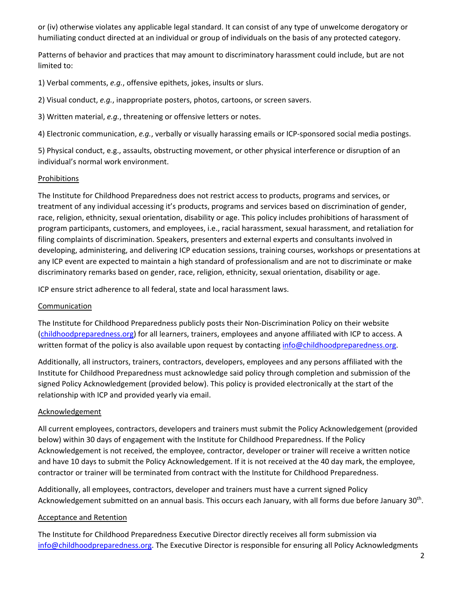or (iv) otherwise violates any applicable legal standard. It can consist of any type of unwelcome derogatory or humiliating conduct directed at an individual or group of individuals on the basis of any protected category.

Patterns of behavior and practices that may amount to discriminatory harassment could include, but are not limited to:

1) Verbal comments, *e.g.*, offensive epithets, jokes, insults or slurs.

2) Visual conduct, *e.g.*, inappropriate posters, photos, cartoons, or screen savers.

3) Written material, *e.g.*, threatening or offensive letters or notes.

4) Electronic communication, *e.g.*, verbally or visually harassing emails or ICP‐sponsored social media postings.

5) Physical conduct, e.g., assaults, obstructing movement, or other physical interference or disruption of an individual's normal work environment.

# Prohibitions

The Institute for Childhood Preparedness does not restrict access to products, programs and services, or treatment of any individual accessing it's products, programs and services based on discrimination of gender, race, religion, ethnicity, sexual orientation, disability or age. This policy includes prohibitions of harassment of program participants, customers, and employees, i.e., racial harassment, sexual harassment, and retaliation for filing complaints of discrimination. Speakers, presenters and external experts and consultants involved in developing, administering, and delivering ICP education sessions, training courses, workshops or presentations at any ICP event are expected to maintain a high standard of professionalism and are not to discriminate or make discriminatory remarks based on gender, race, religion, ethnicity, sexual orientation, disability or age.

ICP ensure strict adherence to all federal, state and local harassment laws.

# Communication

The Institute for Childhood Preparedness publicly posts their Non‐Discrimination Policy on their website (childhoodpreparedness.org) for all learners, trainers, employees and anyone affiliated with ICP to access. A written format of the policy is also available upon request by contacting info@childhoodpreparedness.org.

Additionally, all instructors, trainers, contractors, developers, employees and any persons affiliated with the Institute for Childhood Preparedness must acknowledge said policy through completion and submission of the signed Policy Acknowledgement (provided below). This policy is provided electronically at the start of the relationship with ICP and provided yearly via email.

# Acknowledgement

All current employees, contractors, developers and trainers must submit the Policy Acknowledgement (provided below) within 30 days of engagement with the Institute for Childhood Preparedness. If the Policy Acknowledgement is not received, the employee, contractor, developer or trainer will receive a written notice and have 10 days to submit the Policy Acknowledgement. If it is not received at the 40 day mark, the employee, contractor or trainer will be terminated from contract with the Institute for Childhood Preparedness.

Additionally, all employees, contractors, developer and trainers must have a current signed Policy Acknowledgement submitted on an annual basis. This occurs each January, with all forms due before January 30th.

# Acceptance and Retention

The Institute for Childhood Preparedness Executive Director directly receives all form submission via info@childhoodpreparedness.org. The Executive Director is responsible for ensuring all Policy Acknowledgments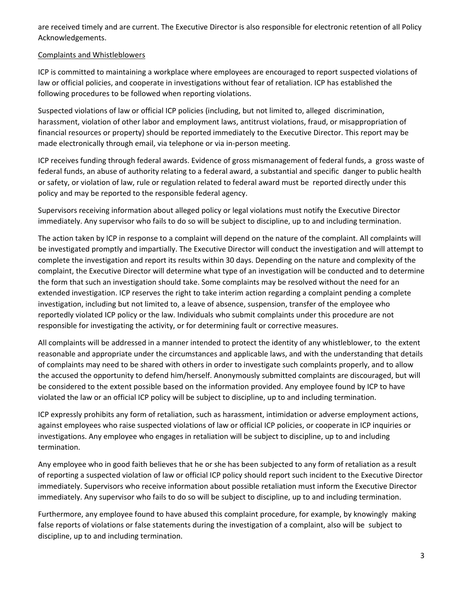are received timely and are current. The Executive Director is also responsible for electronic retention of all Policy Acknowledgements.

### Complaints and Whistleblowers

ICP is committed to maintaining a workplace where employees are encouraged to report suspected violations of law or official policies, and cooperate in investigations without fear of retaliation. ICP has established the following procedures to be followed when reporting violations.

Suspected violations of law or official ICP policies (including, but not limited to, alleged discrimination, harassment, violation of other labor and employment laws, antitrust violations, fraud, or misappropriation of financial resources or property) should be reported immediately to the Executive Director. This report may be made electronically through email, via telephone or via in‐person meeting.

ICP receives funding through federal awards. Evidence of gross mismanagement of federal funds, a gross waste of federal funds, an abuse of authority relating to a federal award, a substantial and specific danger to public health or safety, or violation of law, rule or regulation related to federal award must be reported directly under this policy and may be reported to the responsible federal agency.

Supervisors receiving information about alleged policy or legal violations must notify the Executive Director immediately. Any supervisor who fails to do so will be subject to discipline, up to and including termination.

The action taken by ICP in response to a complaint will depend on the nature of the complaint. All complaints will be investigated promptly and impartially. The Executive Director will conduct the investigation and will attempt to complete the investigation and report its results within 30 days. Depending on the nature and complexity of the complaint, the Executive Director will determine what type of an investigation will be conducted and to determine the form that such an investigation should take. Some complaints may be resolved without the need for an extended investigation. ICP reserves the right to take interim action regarding a complaint pending a complete investigation, including but not limited to, a leave of absence, suspension, transfer of the employee who reportedly violated ICP policy or the law. Individuals who submit complaints under this procedure are not responsible for investigating the activity, or for determining fault or corrective measures.

All complaints will be addressed in a manner intended to protect the identity of any whistleblower, to the extent reasonable and appropriate under the circumstances and applicable laws, and with the understanding that details of complaints may need to be shared with others in order to investigate such complaints properly, and to allow the accused the opportunity to defend him/herself. Anonymously submitted complaints are discouraged, but will be considered to the extent possible based on the information provided. Any employee found by ICP to have violated the law or an official ICP policy will be subject to discipline, up to and including termination.

ICP expressly prohibits any form of retaliation, such as harassment, intimidation or adverse employment actions, against employees who raise suspected violations of law or official ICP policies, or cooperate in ICP inquiries or investigations. Any employee who engages in retaliation will be subject to discipline, up to and including termination.

Any employee who in good faith believes that he or she has been subjected to any form of retaliation as a result of reporting a suspected violation of law or official ICP policy should report such incident to the Executive Director immediately. Supervisors who receive information about possible retaliation must inform the Executive Director immediately. Any supervisor who fails to do so will be subject to discipline, up to and including termination.

Furthermore, any employee found to have abused this complaint procedure, for example, by knowingly making false reports of violations or false statements during the investigation of a complaint, also will be subject to discipline, up to and including termination.